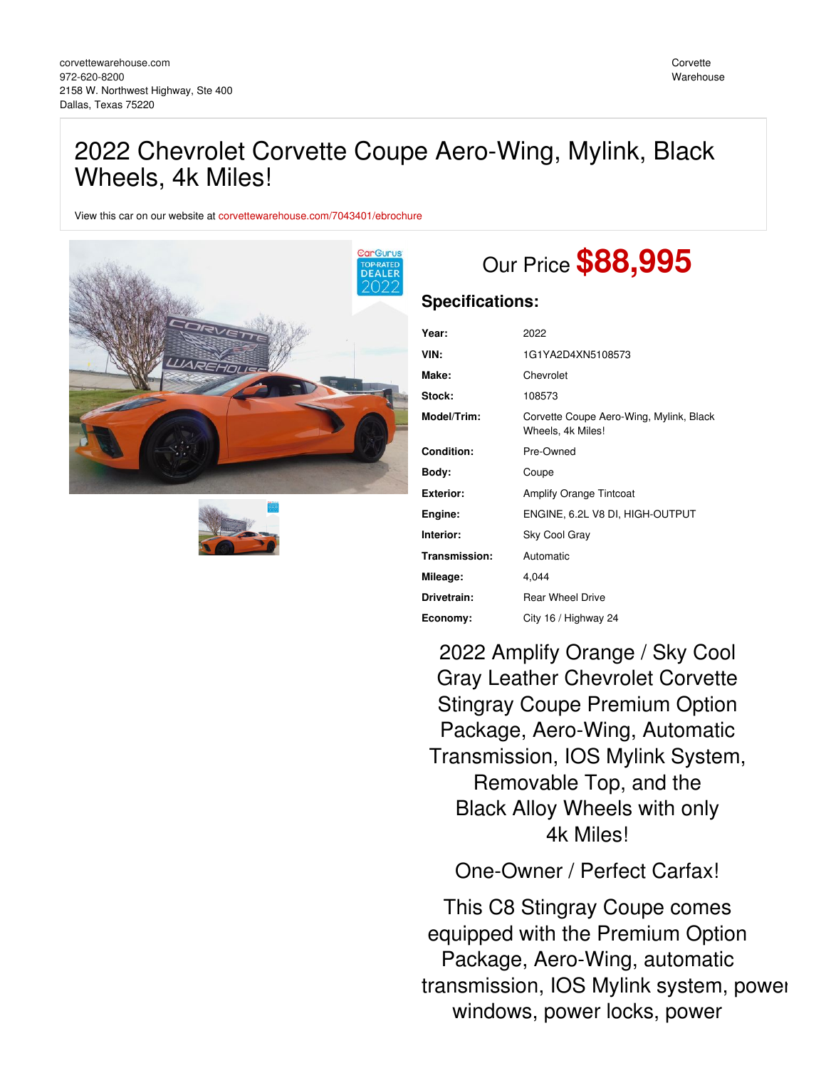# 2022 Chevrolet Corvette Coupe Aero-Wing, Mylink, Black Wheels, 4k Miles!

View this car on our website at [corvettewarehouse.com/7043401/ebrochure](https://corvettewarehouse.com/vehicle/7043401/2022-chevrolet-corvette-coupe-aero-wing-mylink-black-wheels-4k-miles-dallas-texas-75220/7043401/ebrochure)





# Our Price **\$88,995**

### **Specifications:**

| 2022                                                         |
|--------------------------------------------------------------|
| 1G1YA2D4XN5108573                                            |
| Chevrolet                                                    |
| 108573                                                       |
| Corvette Coupe Aero-Wing, Mylink, Black<br>Wheels, 4k Miles! |
| Pre-Owned                                                    |
| Coupe                                                        |
| <b>Amplify Orange Tintcoat</b>                               |
| ENGINE, 6.2L V8 DI, HIGH-OUTPUT                              |
| Sky Cool Gray                                                |
| Automatic                                                    |
| 4,044                                                        |
| <b>Rear Wheel Drive</b>                                      |
| City 16 / Highway 24                                         |
|                                                              |

2022 Amplify Orange / Sky Cool Gray Leather Chevrolet Corvette Stingray Coupe Premium Option Package, Aero-Wing, Automatic Transmission, IOS Mylink System, Removable Top, and the Black Alloy Wheels with only 4k Miles!

One-Owner / Perfect Carfax!

This C8 Stingray Coupe comes equipped with the Premium Option Package, Aero-Wing, automatic transmission, IOS Mylink system, power windows, power locks, power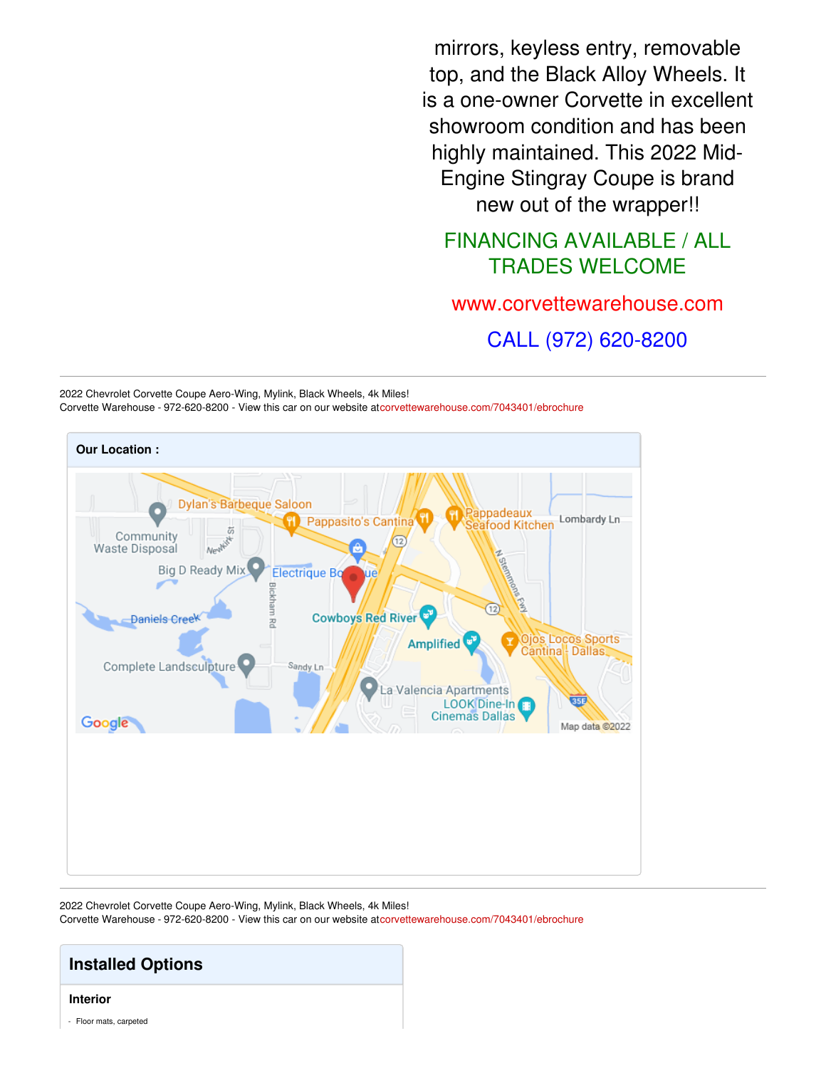mirrors, keyless entry, removable top, and the Black Alloy Wheels. It is a one-owner Corvette in excellent showroom condition and has been highly maintained. This 2022 Mid-Engine Stingray Coupe is brand new out of the wrapper!!

### FINANCING AVAILABLE / ALL TRADES WELCOME

[www.corvettewarehouse.com](http://www.corvettewarehouse.com)

CALL (972) 620-8200





2022 Chevrolet Corvette Coupe Aero-Wing, Mylink, Black Wheels, 4k Miles! Corvette Warehouse - 972-620-8200 - View this car on our website a[tcorvettewarehouse.com/7043401/ebrochure](https://corvettewarehouse.com/vehicle/7043401/2022-chevrolet-corvette-coupe-aero-wing-mylink-black-wheels-4k-miles-dallas-texas-75220/7043401/ebrochure)

## **Installed Options**

#### **Interior**

- Floor mats, carpeted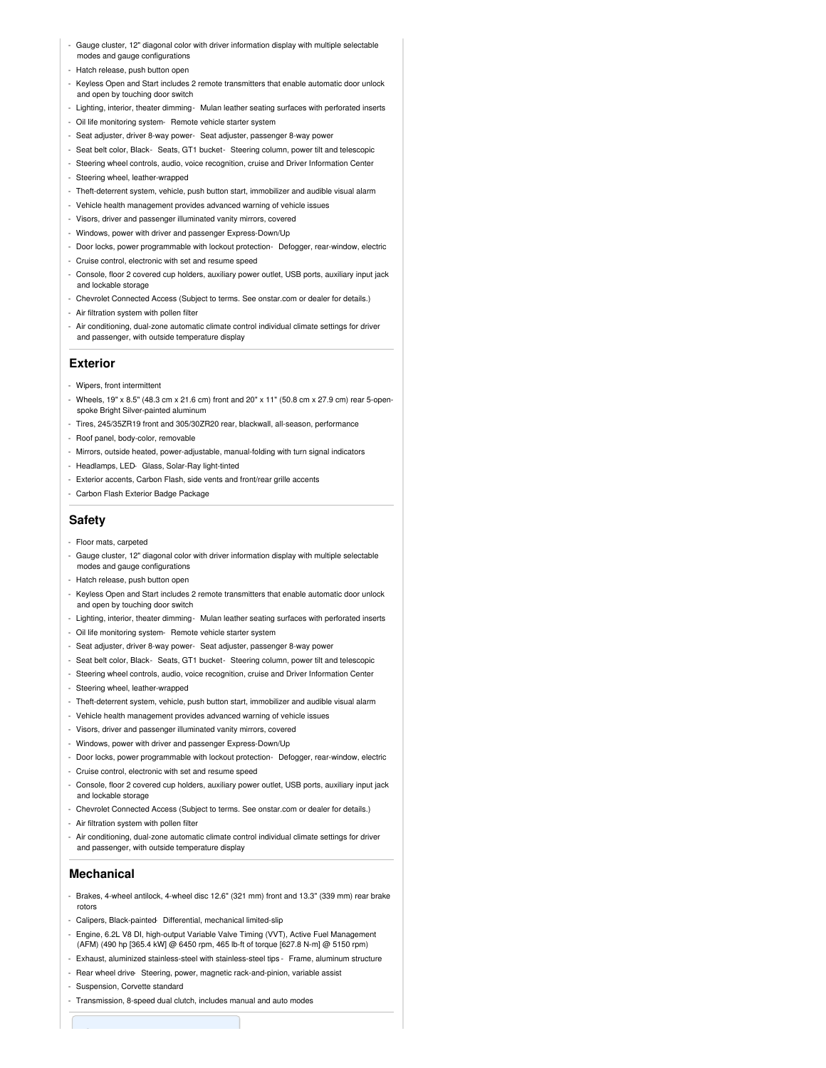- Gauge cluster, 12" diagonal color with driver information display with multiple selectable modes and gauge configurations
- Hatch release, push button open
- Keyless Open and Start includes 2 remote transmitters that enable automatic door unlock and open by touching door switch
- Lighting, interior, theater dimming- Mulan leather seating surfaces with perforated inserts
- Oil life monitoring system- Remote vehicle starter system
- Seat adjuster, driver 8-way power- Seat adjuster, passenger 8-way power
- Seat belt color, Black- Seats, GT1 bucket- Steering column, power tilt and telescopic
- Steering wheel controls, audio, voice recognition, cruise and Driver Information Center
- Steering wheel, leather-wrapped
- Theft-deterrent system, vehicle, push button start, immobilizer and audible visual alarm
- Vehicle health management provides advanced warning of vehicle issues
- Visors, driver and passenger illuminated vanity mirrors, covered
- Windows, power with driver and passenger Express-Down/Up
- Door locks, power programmable with lockout protection- Defogger, rear-window, electric
- Cruise control, electronic with set and resume speed
- Console, floor 2 covered cup holders, auxiliary power outlet, USB ports, auxiliary input jack and lockable storage
- Chevrolet Connected Access (Subject to terms. See onstar.com or dealer for details.)
- Air filtration system with pollen filter
- Air conditioning, dual-zone automatic climate control individual climate settings for driver and passenger, with outside temperature display

#### **Exterior**

- Wipers, front intermittent
- Wheels, 19" x 8.5" (48.3 cm x 21.6 cm) front and 20" x 11" (50.8 cm x 27.9 cm) rear 5-openspoke Bright Silver-painted aluminum
- Tires, 245/35ZR19 front and 305/30ZR20 rear, blackwall, all-season, performance
- Roof panel, body-color, removable
- Mirrors, outside heated, power-adjustable, manual-folding with turn signal indicators
- Headlamps, LED- Glass, Solar-Ray light-tinted
- Exterior accents, Carbon Flash, side vents and front/rear grille accents
- Carbon Flash Exterior Badge Package

#### **Safety**

- Floor mats, carpeted
- Gauge cluster, 12" diagonal color with driver information display with multiple selectable modes and gauge configurations
- Hatch release, push button open
- Keyless Open and Start includes 2 remote transmitters that enable automatic door unlock and open by touching door switch
- Lighting, interior, theater dimming- Mulan leather seating surfaces with perforated inserts
- Oil life monitoring system- Remote vehicle starter system
- Seat adjuster, driver 8-way power- Seat adjuster, passenger 8-way power
- Seat belt color, Black- Seats, GT1 bucket- Steering column, power tilt and telescopic
- Steering wheel controls, audio, voice recognition, cruise and Driver Information Center
- Steering wheel, leather-wrapped
- Theft-deterrent system, vehicle, push button start, immobilizer and audible visual alarm
- Vehicle health management provides advanced warning of vehicle issues
- Visors, driver and passenger illuminated vanity mirrors, covered
- Windows, power with driver and passenger Express-Down/Up
- Door locks, power programmable with lockout protection- Defogger, rear-window, electric
- Cruise control, electronic with set and resume speed
- Console, floor 2 covered cup holders, auxiliary power outlet, USB ports, auxiliary input jack and lockable storage
- Chevrolet Connected Access (Subject to terms. See onstar.com or dealer for details.) - Air filtration system with pollen filter
- 
- Air conditioning, dual-zone automatic climate control individual climate settings for driver and passenger, with outside temperature display

#### **Mechanical**

- Brakes, 4-wheel antilock, 4-wheel disc 12.6" (321 mm) front and 13.3" (339 mm) rear brake rotors
- Calipers, Black-painted- Differential, mechanical limited-slip
- Engine, 6.2L V8 DI, high-output Variable Valve Timing (VVT), Active Fuel Management (AFM) (490 hp [365.4 kW] @ 6450 rpm, 465 lb-ft of torque [627.8 N-m] @ 5150 rpm)
- Exhaust, aluminized stainless-steel with stainless-steel tips Frame, aluminum structure
- Rear wheel drive Steering, power, magnetic rack-and-pinion, variable assist
- Suspension, Corvette standard
- Transmission, 8-speed dual clutch, includes manual and auto modes